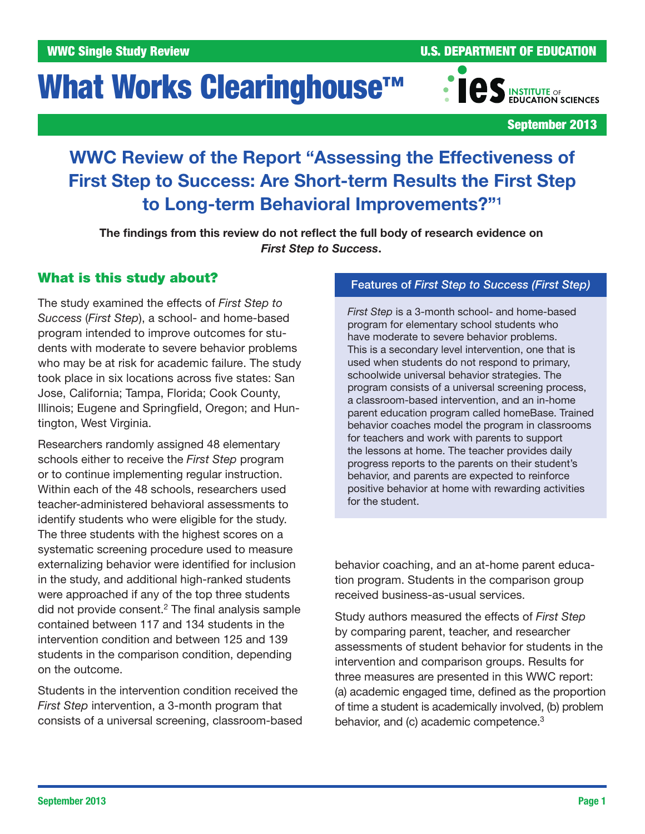# What Works Clearinghouse<sup>™</sup>

WWC Single Study Review **No. 2008 U.S. DEPARTMENT OF EDUCATION** 



September 2013

## WWC Review of the Report "Assessing the Effectiveness of First Step to Success: Are Short-term Results the First Step to Long-term Behavioral Improvements?"1

The findings from this review do not reflect the full body of research evidence on *First Step to Success*.

## What is this study about?

The study examined the effects of *First Step to Success* (*First Step*), a school- and home-based program intended to improve outcomes for students with moderate to severe behavior problems who may be at risk for academic failure. The study took place in six locations across five states: San Jose, California; Tampa, Florida; Cook County, Illinois; Eugene and Springfield, Oregon; and Huntington, West Virginia.

Researchers randomly assigned 48 elementary schools either to receive the *First Step* program or to continue implementing regular instruction. Within each of the 48 schools, researchers used teacher-administered behavioral assessments to identify students who were eligible for the study. The three students with the highest scores on a systematic screening procedure used to measure externalizing behavior were identified for inclusion in the study, and additional high-ranked students were approached if any of the top three students did not provide consent.2 The final analysis sample contained between 117 and 134 students in the intervention condition and between 125 and 139 students in the comparison condition, depending on the outcome.

Students in the intervention condition received the *First Step* intervention, a 3-month program that consists of a universal screening, classroom-based

## Features of *First Step to Success (First Step)*

*First Step* is a 3-month school- and home-based program for elementary school students who have moderate to severe behavior problems. This is a secondary level intervention, one that is used when students do not respond to primary, schoolwide universal behavior strategies. The program consists of a universal screening process, a classroom-based intervention, and an in-home parent education program called homeBase. Trained behavior coaches model the program in classrooms for teachers and work with parents to support the lessons at home. The teacher provides daily progress reports to the parents on their student's behavior, and parents are expected to reinforce positive behavior at home with rewarding activities for the student.

behavior coaching, and an at-home parent education program. Students in the comparison group received business-as-usual services.

Study authors measured the effects of *First Step* by comparing parent, teacher, and researcher assessments of student behavior for students in the intervention and comparison groups. Results for three measures are presented in this WWC report: (a) academic engaged time, defined as the proportion of time a student is academically involved, (b) problem behavior, and (c) academic competence.<sup>3</sup>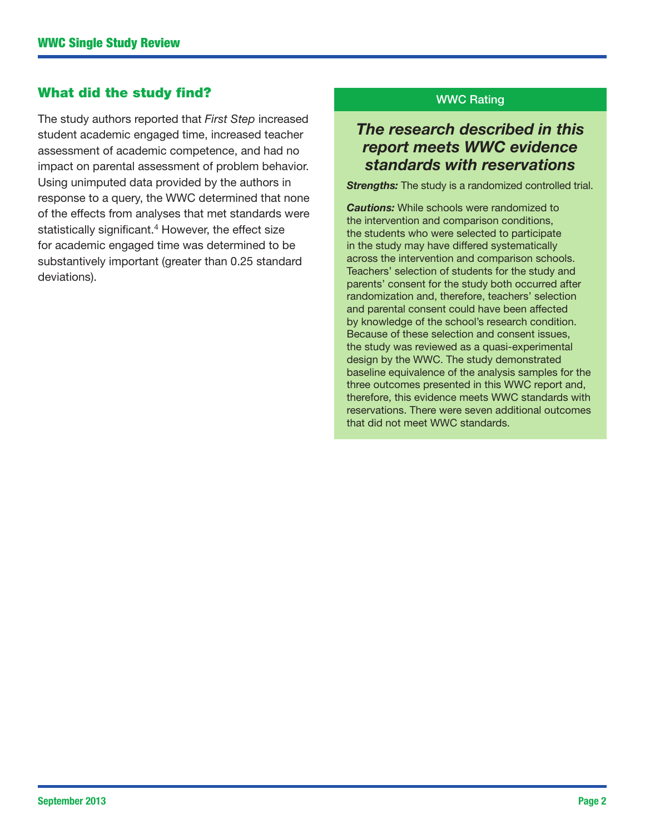## What did the study find?

The study authors reported that *First Step* increased student academic engaged time, increased teacher assessment of academic competence, and had no impact on parental assessment of problem behavior. Using unimputed data provided by the authors in response to a query, the WWC determined that none of the effects from analyses that met standards were statistically significant.<sup>4</sup> However, the effect size for academic engaged time was determined to be substantively important (greater than 0.25 standard deviations).

## WWC Rating

## *The research described in this report meets WWC evidence standards with reservations*

**Strengths:** The study is a randomized controlled trial.

*Cautions:* While schools were randomized to the intervention and comparison conditions, the students who were selected to participate in the study may have differed systematically across the intervention and comparison schools. Teachers' selection of students for the study and parents' consent for the study both occurred after randomization and, therefore, teachers' selection and parental consent could have been affected by knowledge of the school's research condition. Because of these selection and consent issues, the study was reviewed as a quasi-experimental design by the WWC. The study demonstrated baseline equivalence of the analysis samples for the three outcomes presented in this WWC report and, therefore, this evidence meets WWC standards with reservations. There were seven additional outcomes that did not meet WWC standards.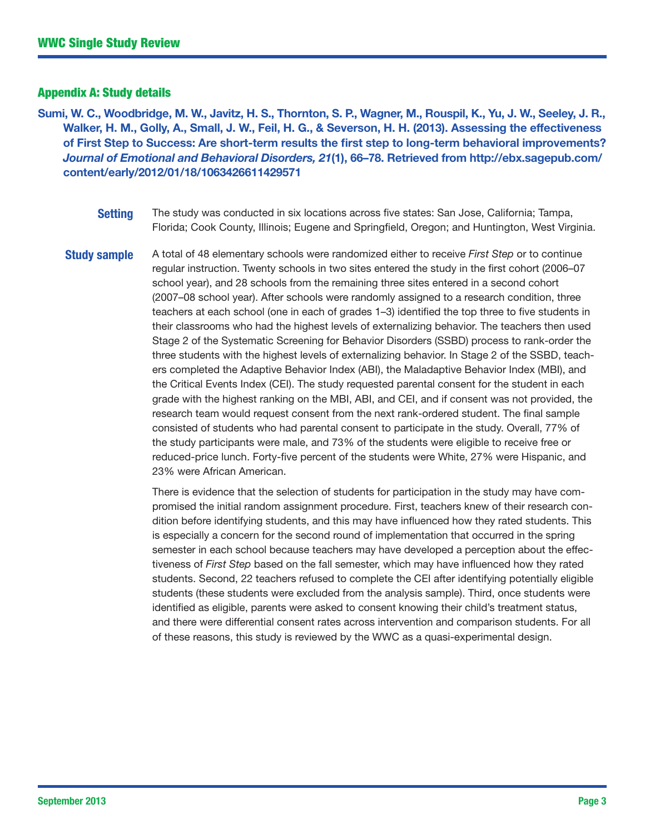## Appendix A: Study details

Sumi, W. C., Woodbridge, M. W., Javitz, H. S., Thornton, S. P., Wagner, M., Rouspil, K., Yu, J. W., Seeley, J. R., Walker, H. M., Golly, A., Small, J. W., Feil, H. G., & Severson, H. H. (2013). Assessing the effectiveness of First Step to Success: Are short-term results the first step to long-term behavioral improvements? *Journal of Emotional and Behavioral Disorders, 21*(1), 66–78. Retrieved from [http://ebx.sagepub.com/](http://ebx.sagepub.com/content/early/2012/01/18/1063426611429571) [content/early/2012/01/18/1063426611429571](http://ebx.sagepub.com/content/early/2012/01/18/1063426611429571)

> **Setting** The study was conducted in six locations across five states: San Jose, California; Tampa, Florida; Cook County, Illinois; Eugene and Springfield, Oregon; and Huntington, West Virginia.

Study sample A total of 48 elementary schools were randomized either to receive *First Step* or to continue regular instruction. Twenty schools in two sites entered the study in the first cohort (2006–07 school year), and 28 schools from the remaining three sites entered in a second cohort (2007–08 school year). After schools were randomly assigned to a research condition, three teachers at each school (one in each of grades 1–3) identified the top three to five students in their classrooms who had the highest levels of externalizing behavior. The teachers then used Stage 2 of the Systematic Screening for Behavior Disorders (SSBD) process to rank-order the three students with the highest levels of externalizing behavior. In Stage 2 of the SSBD, teachers completed the Adaptive Behavior Index (ABI), the Maladaptive Behavior Index (MBI), and the Critical Events Index (CEI). The study requested parental consent for the student in each grade with the highest ranking on the MBI, ABI, and CEI, and if consent was not provided, the research team would request consent from the next rank-ordered student. The final sample consisted of students who had parental consent to participate in the study. Overall, 77% of the study participants were male, and 73% of the students were eligible to receive free or reduced-price lunch. Forty-five percent of the students were White, 27% were Hispanic, and 23% were African American.

> There is evidence that the selection of students for participation in the study may have compromised the initial random assignment procedure. First, teachers knew of their research condition before identifying students, and this may have influenced how they rated students. This is especially a concern for the second round of implementation that occurred in the spring semester in each school because teachers may have developed a perception about the effectiveness of *First Step* based on the fall semester, which may have influenced how they rated students. Second, 22 teachers refused to complete the CEI after identifying potentially eligible students (these students were excluded from the analysis sample). Third, once students were identified as eligible, parents were asked to consent knowing their child's treatment status, and there were differential consent rates across intervention and comparison students. For all of these reasons, this study is reviewed by the WWC as a quasi-experimental design.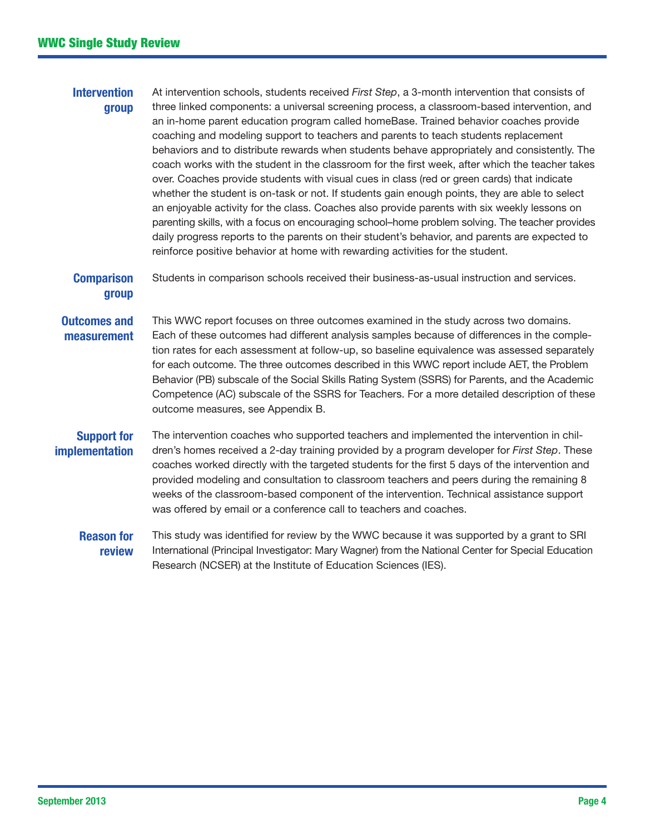## **Intervention** group

At intervention schools, students received *First Step*, a 3-month intervention that consists of three linked components: a universal screening process, a classroom-based intervention, and an in-home parent education program called homeBase. Trained behavior coaches provide coaching and modeling support to teachers and parents to teach students replacement behaviors and to distribute rewards when students behave appropriately and consistently. The coach works with the student in the classroom for the first week, after which the teacher takes over. Coaches provide students with visual cues in class (red or green cards) that indicate whether the student is on-task or not. If students gain enough points, they are able to select an enjoyable activity for the class. Coaches also provide parents with six weekly lessons on parenting skills, with a focus on encouraging school–home problem solving. The teacher provides daily progress reports to the parents on their student's behavior, and parents are expected to reinforce positive behavior at home with rewarding activities for the student.

#### **Comparison** group Students in comparison schools received their business-as-usual instruction and services.

#### Outcomes and measurement This WWC report focuses on three outcomes examined in the study across two domains. Each of these outcomes had different analysis samples because of differences in the completion rates for each assessment at follow-up, so baseline equivalence was assessed separately for each outcome. The three outcomes described in this WWC report include AET, the Problem Behavior (PB) subscale of the Social Skills Rating System (SSRS) for Parents, and the Academic Competence (AC) subscale of the SSRS for Teachers. For a more detailed description of these outcome measures, see Appendix B.

## Support for implementation

The intervention coaches who supported teachers and implemented the intervention in children's homes received a 2-day training provided by a program developer for *First Step*. These coaches worked directly with the targeted students for the first 5 days of the intervention and provided modeling and consultation to classroom teachers and peers during the remaining 8 weeks of the classroom-based component of the intervention. Technical assistance support was offered by email or a conference call to teachers and coaches.

#### Reason for review This study was identified for review by the WWC because it was supported by a grant to SRI International (Principal Investigator: Mary Wagner) from the National Center for Special Education Research (NCSER) at the Institute of Education Sciences (IES).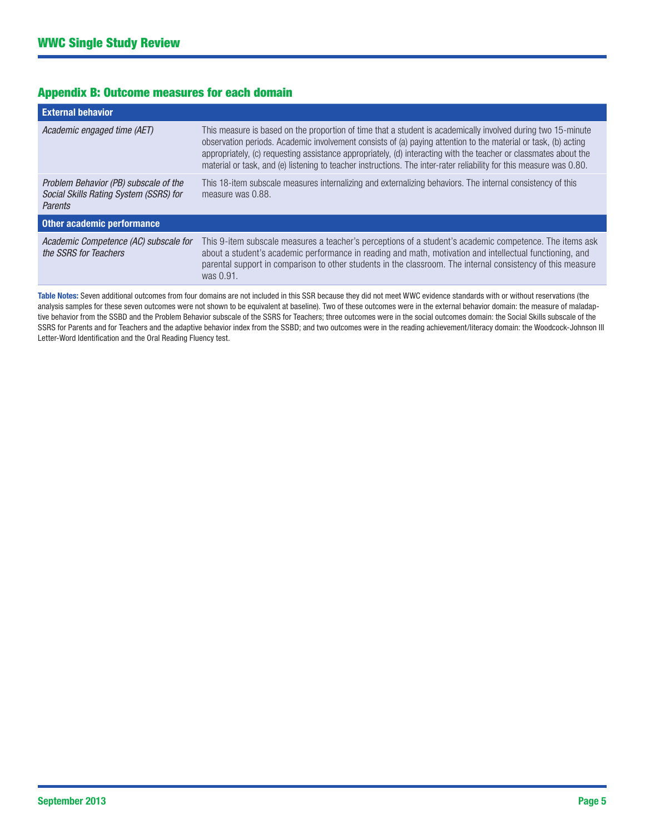## Appendix B: Outcome measures for each domain

| <b>External behavior</b>                                                                   |                                                                                                                                                                                                                                                                                                                                                                                                                                                                           |  |  |  |
|--------------------------------------------------------------------------------------------|---------------------------------------------------------------------------------------------------------------------------------------------------------------------------------------------------------------------------------------------------------------------------------------------------------------------------------------------------------------------------------------------------------------------------------------------------------------------------|--|--|--|
| Academic engaged time (AET)                                                                | This measure is based on the proportion of time that a student is academically involved during two 15-minute<br>observation periods. Academic involvement consists of (a) paying attention to the material or task, (b) acting<br>appropriately, (c) requesting assistance appropriately, (d) interacting with the teacher or classmates about the<br>material or task, and (e) listening to teacher instructions. The inter-rater reliability for this measure was 0.80. |  |  |  |
| Problem Behavior (PB) subscale of the<br>Social Skills Rating System (SSRS) for<br>Parents | This 18-item subscale measures internalizing and externalizing behaviors. The internal consistency of this<br>measure was 0.88.                                                                                                                                                                                                                                                                                                                                           |  |  |  |
| Other academic performance                                                                 |                                                                                                                                                                                                                                                                                                                                                                                                                                                                           |  |  |  |
| Academic Competence (AC) subscale for<br>the SSRS for Teachers                             | This 9-item subscale measures a teacher's perceptions of a student's academic competence. The items ask<br>about a student's academic performance in reading and math, motivation and intellectual functioning, and<br>parental support in comparison to other students in the classroom. The internal consistency of this measure<br>was 0.91.                                                                                                                           |  |  |  |

Table Notes: Seven additional outcomes from four domains are not included in this SSR because they did not meet WWC evidence standards with or without reservations (the analysis samples for these seven outcomes were not shown to be equivalent at baseline). Two of these outcomes were in the external behavior domain: the measure of maladaptive behavior from the SSBD and the Problem Behavior subscale of the SSRS for Teachers; three outcomes were in the social outcomes domain: the Social Skills subscale of the SSRS for Parents and for Teachers and the adaptive behavior index from the SSBD; and two outcomes were in the reading achievement/literacy domain: the Woodcock-Johnson III Letter-Word Identification and the Oral Reading Fluency test.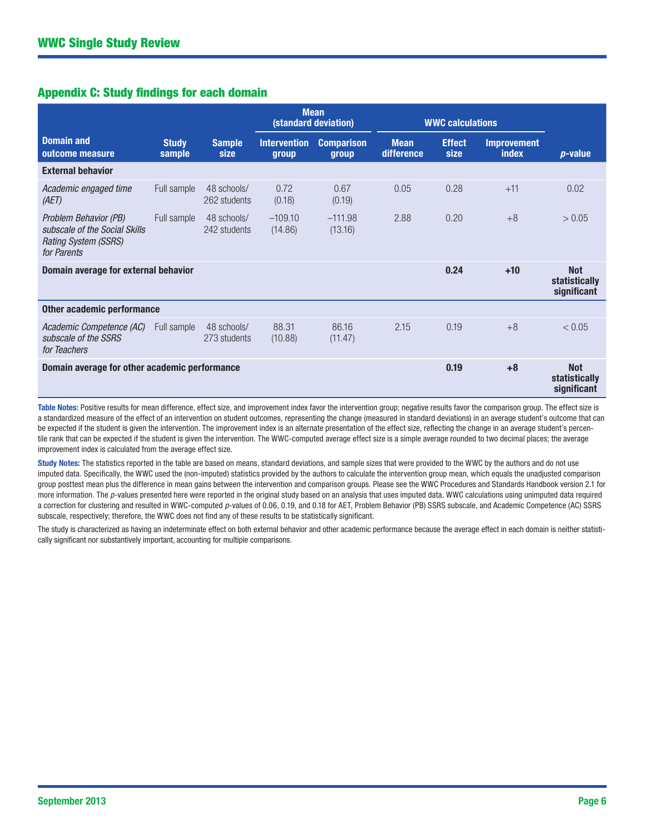## Appendix C: Study findings for each domain

|                                                                                                      |                        |                             | <b>Mean</b><br>(standard deviation) |                            | <b>WWC calculations</b>   |                       |                                            |                                            |
|------------------------------------------------------------------------------------------------------|------------------------|-----------------------------|-------------------------------------|----------------------------|---------------------------|-----------------------|--------------------------------------------|--------------------------------------------|
| <b>Domain and</b><br>outcome measure                                                                 | <b>Study</b><br>sample | <b>Sample</b><br>size       | <b>Intervention</b><br>group        | <b>Comparison</b><br>group | <b>Mean</b><br>difference | <b>Effect</b><br>size | <b>Improvement</b><br>index                | $p$ -value                                 |
| <b>External behavior</b>                                                                             |                        |                             |                                     |                            |                           |                       |                                            |                                            |
| Academic engaged time<br>(AET)                                                                       | Full sample            | 48 schools/<br>262 students | 0.72<br>(0.18)                      | 0.67<br>(0.19)             | 0.05                      | 0.28                  | $+11$                                      | 0.02                                       |
| Problem Behavior (PB)<br>subscale of the Social Skills<br><b>Rating System (SSRS)</b><br>for Parents | Full sample            | 48 schools/<br>242 students | $-109.10$<br>(14.86)                | $-111.98$<br>(13.16)       | 2.88                      | 0.20                  | $+8$                                       | > 0.05                                     |
| Domain average for external behavior                                                                 |                        |                             |                                     |                            |                           | 0.24                  | $+10$                                      | <b>Not</b><br>statistically<br>significant |
| <b>Other academic performance</b>                                                                    |                        |                             |                                     |                            |                           |                       |                                            |                                            |
| Academic Competence (AC)<br>subscale of the SSRS<br>for Teachers                                     | Full sample            | 48 schools/<br>273 students | 88.31<br>(10.88)                    | 86.16<br>(11.47)           | 2.15                      | 0.19                  | $+8$                                       | < 0.05                                     |
| Domain average for other academic performance                                                        |                        |                             |                                     |                            | 0.19                      | $+8$                  | <b>Not</b><br>statistically<br>significant |                                            |

Table Notes: Positive results for mean difference, effect size, and improvement index favor the intervention group; negative results favor the comparison group. The effect size is a standardized measure of the effect of an intervention on student outcomes, representing the change (measured in standard deviations) in an average student's outcome that can be expected if the student is given the intervention. The improvement index is an alternate presentation of the effect size, reflecting the change in an average student's percentile rank that can be expected if the student is given the intervention. The WWC-computed average effect size is a simple average rounded to two decimal places; the average improvement index is calculated from the average effect size.

Study Notes: The statistics reported in the table are based on means, standard deviations, and sample sizes that were provided to the WWC by the authors and do not use imputed data. Specifically, the WWC used the (non-imputed) statistics provided by the authors to calculate the intervention group mean, which equals the unadjusted comparison group posttest mean plus the difference in mean gains between the intervention and comparison groups. Please see the WWC Procedures and Standards Handbook version 2.1 for more information. The *p*-values presented here were reported in the original study based on an analysis that uses imputed data. WWC calculations using unimputed data required a correction for clustering and resulted in WWC-computed *p*-values of 0.06, 0.19, and 0.18 for AET, Problem Behavior (PB) SSRS subscale, and Academic Competence (AC) SSRS subscale, respectively; therefore, the WWC does not find any of these results to be statistically significant.

The study is characterized as having an indeterminate effect on both external behavior and other academic performance because the average effect in each domain is neither statistically significant nor substantively important, accounting for multiple comparisons.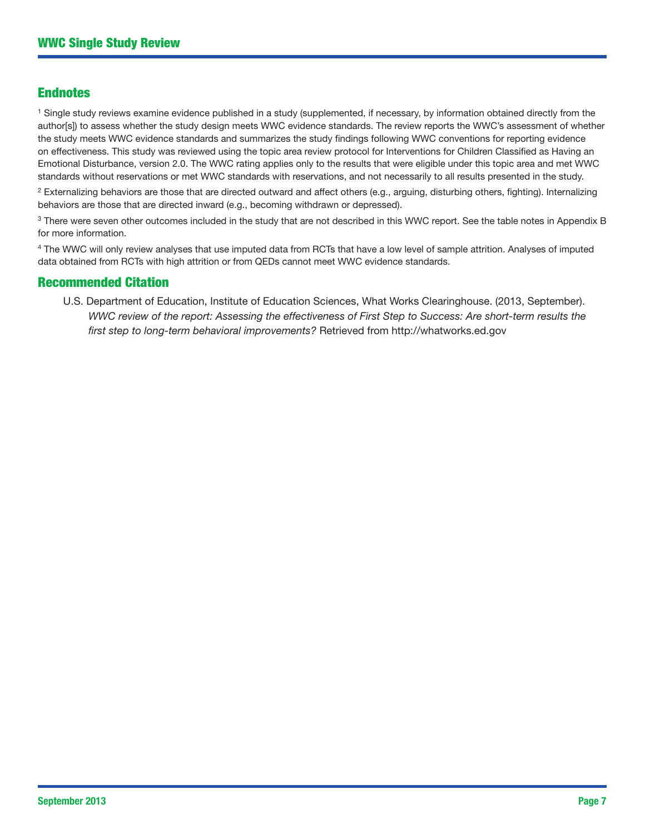## Endnotes

<sup>1</sup> Single study reviews examine evidence published in a study (supplemented, if necessary, by information obtained directly from the author[s]) to assess whether the study design meets WWC evidence standards. The review reports the WWC's assessment of whether the study meets WWC evidence standards and summarizes the study findings following WWC conventions for reporting evidence on effectiveness. This study was reviewed using the topic area review protocol for Interventions for Children Classified as Having an Emotional Disturbance, version 2.0. The WWC rating applies only to the results that were eligible under this topic area and met WWC standards without reservations or met WWC standards with reservations, and not necessarily to all results presented in the study.

 $2$  Externalizing behaviors are those that are directed outward and affect others (e.g., arguing, disturbing others, fighting). Internalizing behaviors are those that are directed inward (e.g., becoming withdrawn or depressed).

<sup>3</sup> There were seven other outcomes included in the study that are not described in this WWC report. See the table notes in Appendix B for more information.

4 The WWC will only review analyses that use imputed data from RCTs that have a low level of sample attrition. Analyses of imputed data obtained from RCTs with high attrition or from QEDs cannot meet WWC evidence standards.

## Recommended Citation

U.S. Department of Education, Institute of Education Sciences, What Works Clearinghouse. (2013, September). *WWC review of the report: Assessing the effectiveness of First Step to Success: Are short-term results the first step to long-term behavioral improvements?* Retrieved from <http://whatworks.ed.gov>